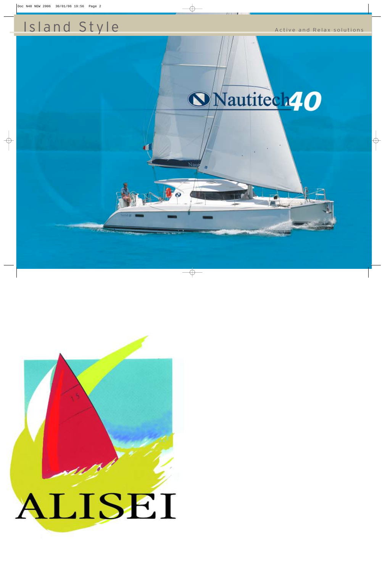## Island Style Active and Relax solutions

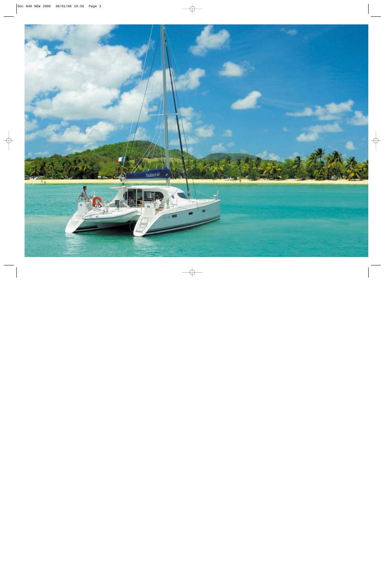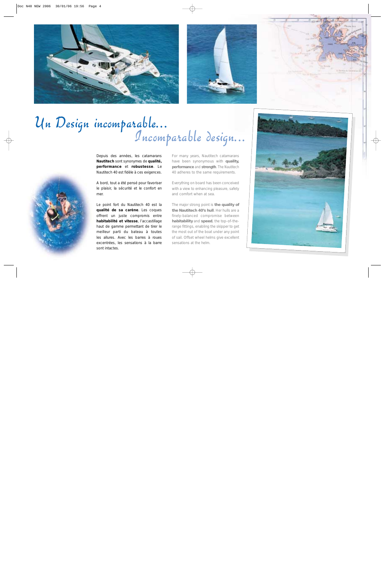![](_page_2_Picture_0.jpeg)

![](_page_2_Picture_1.jpeg)

# Un Design incomparable...<br>Incomparable design...

Depuis des années, les catamarans **Nautitech** sont synonymes de **qualité, performance** et **robustesse**. Le Nautitech 40 est fidèle à ces exigences.

A bord, tout a été pensé pour favoriser le plaisir, la sécurité et le confort en mer.

Le point fort du Nautitech 40 est la **qualité de sa carène**. Les coques offrent un juste compromis entre **habitabilité et vitesse**, l'accastillage haut de gamme permettant de tirer le meilleur parti du bateau à toutes les allures. Avec les barres à roues excentrées, les sensations à la barre sont intactes.

*For many years, Nautitech catamarans have been synonymous with quality, performance* and *strength*. *The Nautitech 40 adheres to the same requirements.*

*Everything on board has been conceived with a view to enhancing pleasure, safety and comfort when at sea.*

*The major strong point is the quality of the Nautitech 40's hull*. *Her hulls are a finely-balanced compromise between habitability and speed, the top-of-therange fittings, enabling the skipper to get the most out of the boat under any point of sail. Offset wheel helms give excellent sensations at the helm.*

![](_page_2_Picture_9.jpeg)

![](_page_2_Picture_10.jpeg)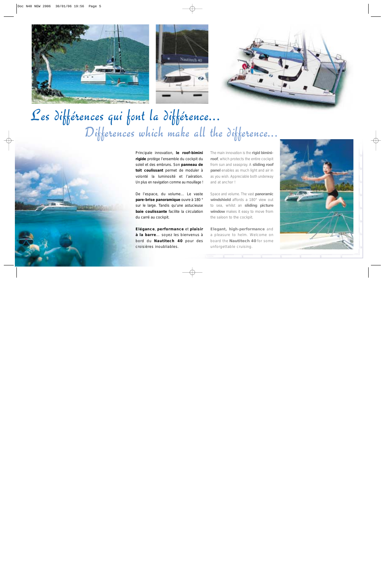![](_page_3_Picture_0.jpeg)

![](_page_3_Picture_1.jpeg)

![](_page_3_Picture_2.jpeg)

## Differences which make all the difference... Les différences qui font la différence...

![](_page_3_Picture_4.jpeg)

Principale innovation, **le roof-bimini rigide** protège l'ensemble du cockpit du soleil et des embruns. Son **panneau de toit coulissant** permet de moduler à volonté la luminosité et l'aération. Un plus en navigation comme au mouillage !

De l'espace, du volume… Le vaste **pare-brise panoramique** ouvre à 180 ° sur le large. Tandis qu'une astucieuse **baie coulissante** facilite la circulation du carré au cockpit.

**Elégance**, **performance** et **plaisir à la barre**… soyez les bienvenus à bord du **Nautitech 40** pour des croisières inoubliables.

*The main innovation is the rigid biminiroof, which protects the entire cockpit from sun and seaspray. A sliding roof panel enables as much light and air in as you wish. Appreciable both underway and at anchor !*

*Space and volume. The vast panoramic windshield affords a 180° view out to sea, whilst an sliding picture window makes it easy to move from the saloon to the cockpit.*

*Elegant, high-performance and a pleasure to helm. Welcome on board the Nautitech 40 for some unforgettable cruising.*

![](_page_3_Picture_11.jpeg)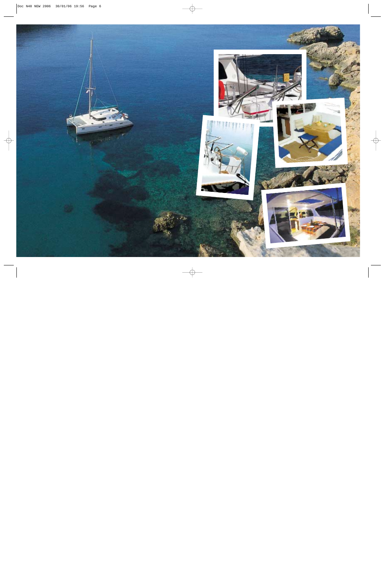![](_page_4_Picture_0.jpeg)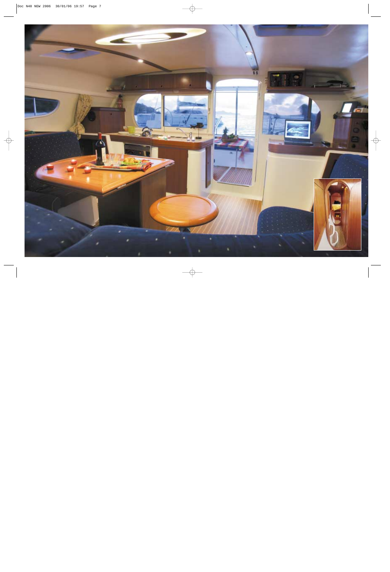![](_page_5_Picture_0.jpeg)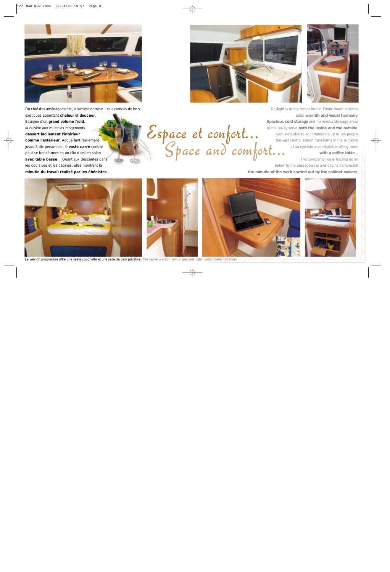![](_page_6_Picture_0.jpeg)

Du côté des aménagements, la lumière domine. Les essences de bois exotiques apportent **chaleur** et **douceur**. Equipée d'un **grand volume froid**, la cuisine aux multiples rangements **dessert facilement l'intérieur comme l'extérieur**. Accueillant réellement jusqu'à dix personnes, le **vaste carré** central peut se transformer en un clin d'œil en salon **avec table basse**… Quant aux descentes dans les coursives et les cabines, elles montrent la **minutie du travail réalisé par les ébénistes**.

![](_page_6_Picture_2.jpeg)

Espace et confort... *Daylight is omnipresent inside. Exotic wood essence adds warmth and visual harmony. Spacious cold storage and numerous stowage areas in the galley serve both the inside and the outside. Genuinely able to accommodate up to ten people the vast central saloon transforms in the twinkling of an eye into a comfortable sitting room with a coffee table…* 

*The companionways leading down below to the passageways and cabins demonstrat the minutia of the work carried out by the cabinet makers.* 

![](_page_6_Picture_5.jpeg)

![](_page_6_Picture_6.jpeg)

![](_page_6_Picture_7.jpeg)